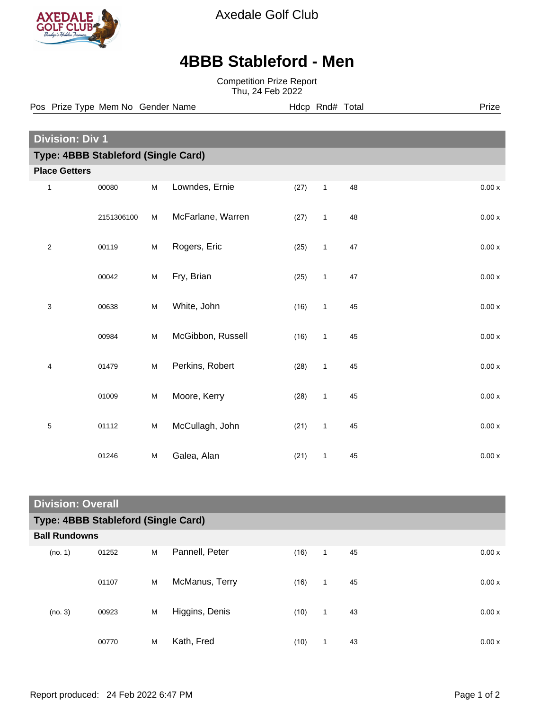

Axedale Golf Club

## **4BBB Stableford - Men**

Competition Prize Report Thu, 24 Feb 2022

**Division: Div 1 Type: 4BBB Stableford (Single Card) Place Getters** 1 00080 M Lowndes, Ernie (27) 1 48 0.00 x 2151306100 M McFarlane, Warren (27) 1 48 0.00 x 2 00119 M Rogers, Eric (25) 1 47 0.00 x 00042 M Fry, Brian (25) 1 47 0.00 x 3 00638 M White, John (16) 1 45 0.00 x 00984 M McGibbon, Russell (16) 1 45 0.00 x 4 01479 M Perkins, Robert (28) 1 45 0.00 x 01009 M Moore, Kerry (28) 1 45 0.00 x 5 01112 M McCullagh, John (21) 1 45 0.00 x 01246 M Galea, Alan (21) 1 45 0.00 x Pos Prize Type Mem No Gender Name **Hdcp Rnd# Total** Prize Prize

| <b>Division: Overall</b>            |       |   |                |      |              |    |       |  |
|-------------------------------------|-------|---|----------------|------|--------------|----|-------|--|
| Type: 4BBB Stableford (Single Card) |       |   |                |      |              |    |       |  |
| <b>Ball Rundowns</b>                |       |   |                |      |              |    |       |  |
| (no. 1)                             | 01252 | M | Pannell, Peter | (16) | $\mathbf{1}$ | 45 | 0.00x |  |
|                                     | 01107 | M | McManus, Terry | (16) | $\mathbf{1}$ | 45 | 0.00x |  |
| (no. 3)                             | 00923 | M | Higgins, Denis | (10) | $\mathbf{1}$ | 43 | 0.00x |  |
|                                     | 00770 | M | Kath, Fred     | (10) | 1            | 43 | 0.00x |  |